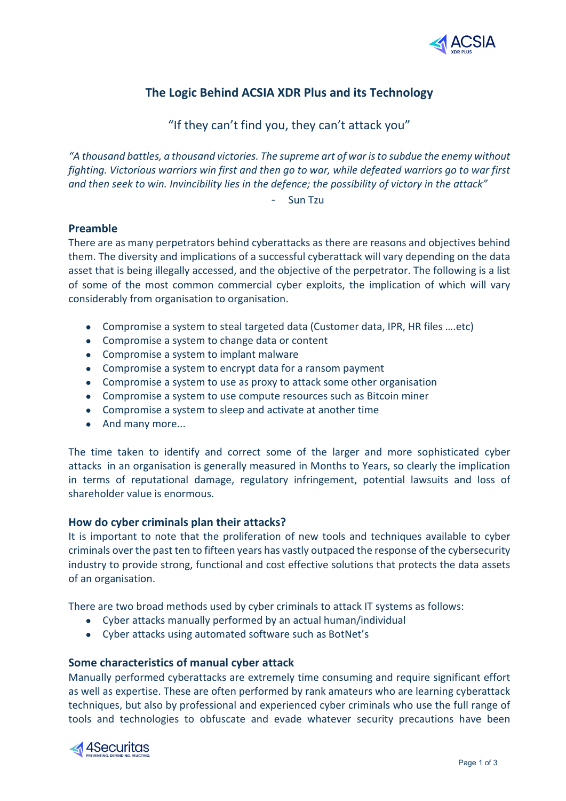

# **The Logic Behind ACSIA XDR Plus and its Technology**

## "If they can't find you, they can't attack you"

*"A thousand battles, a thousand victories. The supreme art of war is to subdue the enemy without fighting. Victorious warriors win first and then go to war, while defeated warriors go to war first and then seek to win. Invincibility lies in the defence; the possibility of victory in the attack"*

- Sun Tzu

## **Preamble**

There are as many perpetrators behind cyberattacks as there are reasons and objectives behind them. The diversity and implications of a successful cyberattack will vary depending on the data asset that is being illegally accessed, and the objective of the perpetrator. The following is a list of some of the most common commercial cyber exploits, the implication of which will vary considerably from organisation to organisation.

- Compromise a system to steal targeted data (Customer data, IPR, HR files ….etc)
- Compromise a system to change data or content
- Compromise a system to implant malware
- Compromise a system to encrypt data for a ransom payment
- Compromise a system to use as proxy to attack some other organisation
- Compromise a system to use compute resources such as Bitcoin miner
- Compromise a system to sleep and activate at another time
- And many more...

The time taken to identify and correct some of the larger and more sophisticated cyber attacks in an organisation is generally measured in Months to Years, so clearly the implication in terms of reputational damage, regulatory infringement, potential lawsuits and loss of shareholder value is enormous.

## **How do cyber criminals plan their attacks?**

It is important to note that the proliferation of new tools and techniques available to cyber criminals over the past ten to fifteen years has vastly outpaced the response of the cybersecurity industry to provide strong, functional and cost effective solutions that protects the data assets of an organisation.

There are two broad methods used by cyber criminals to attack IT systems as follows:

- Cyber attacks manually performed by an actual human/individual
- Cyber attacks using automated software such as BotNet's

## **Some characteristics of manual cyber attack**

Manually performed cyberattacks are extremely time consuming and require significant effort as well as expertise. These are often performed by rank amateurs who are learning cyberattack techniques, but also by professional and experienced cyber criminals who use the full range of tools and technologies to obfuscate and evade whatever security precautions have been

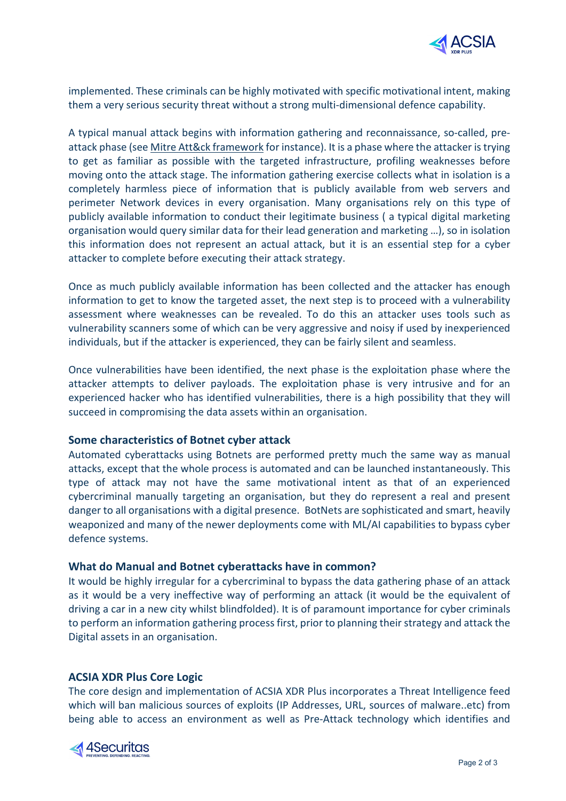

implemented. These criminals can be highly motivated with specific motivational intent, making them a very serious security threat without a strong multi-dimensional defence capability.

A typical manual attack begins with information gathering and reconnaissance, so-called, preattack phase (see [Mitre Att&ck framework](https://attack.mitre.org/tactics/TA0015/) for instance). It is a phase where the attacker is trying to get as familiar as possible with the targeted infrastructure, profiling weaknesses before moving onto the attack stage. The information gathering exercise collects what in isolation is a completely harmless piece of information that is publicly available from web servers and perimeter Network devices in every organisation. Many organisations rely on this type of publicly available information to conduct their legitimate business ( a typical digital marketing organisation would query similar data for their lead generation and marketing …), so in isolation this information does not represent an actual attack, but it is an essential step for a cyber attacker to complete before executing their attack strategy.

Once as much publicly available information has been collected and the attacker has enough information to get to know the targeted asset, the next step is to proceed with a vulnerability assessment where weaknesses can be revealed. To do this an attacker uses tools such as vulnerability scanners some of which can be very aggressive and noisy if used by inexperienced individuals, but if the attacker is experienced, they can be fairly silent and seamless.

Once vulnerabilities have been identified, the next phase is the exploitation phase where the attacker attempts to deliver payloads. The exploitation phase is very intrusive and for an experienced hacker who has identified vulnerabilities, there is a high possibility that they will succeed in compromising the data assets within an organisation.

## **Some characteristics of Botnet cyber attack**

Automated cyberattacks using Botnets are performed pretty much the same way as manual attacks, except that the whole process is automated and can be launched instantaneously. This type of attack may not have the same motivational intent as that of an experienced cybercriminal manually targeting an organisation, but they do represent a real and present danger to all organisations with a digital presence. BotNets are sophisticated and smart, heavily weaponized and many of the newer deployments come with ML/AI capabilities to bypass cyber defence systems.

#### **What do Manual and Botnet cyberattacks have in common?**

It would be highly irregular for a cybercriminal to bypass the data gathering phase of an attack as it would be a very ineffective way of performing an attack (it would be the equivalent of driving a car in a new city whilst blindfolded). It is of paramount importance for cyber criminals to perform an information gathering process first, prior to planning their strategy and attack the Digital assets in an organisation.

#### **ACSIA XDR Plus Core Logic**

The core design and implementation of ACSIA XDR Plus incorporates a Threat Intelligence feed which will ban malicious sources of exploits (IP Addresses, URL, sources of malware..etc) from being able to access an environment as well as Pre-Attack technology which identifies and